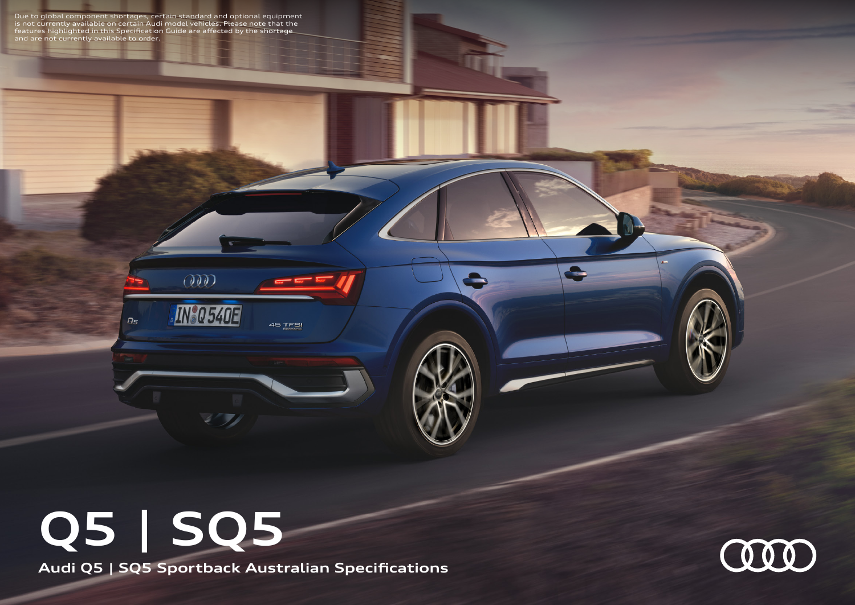Due to global component shortages, certain standard and optional equipment<br>is not currently available on certain Audi model vehicles. Please note that the<br>features highlighted in this Specification Guide are affected by th

 $O\!\!\!\!O\!\!\!\!O$ 

 $D<sub>5</sub>$ 

**IN®Q 540E** 

45 TFSI

**Audi Q5 | SQ5 Sportback Australian Specifications Q5 | SQ5**



 $\bullet$ 

 $\blacksquare$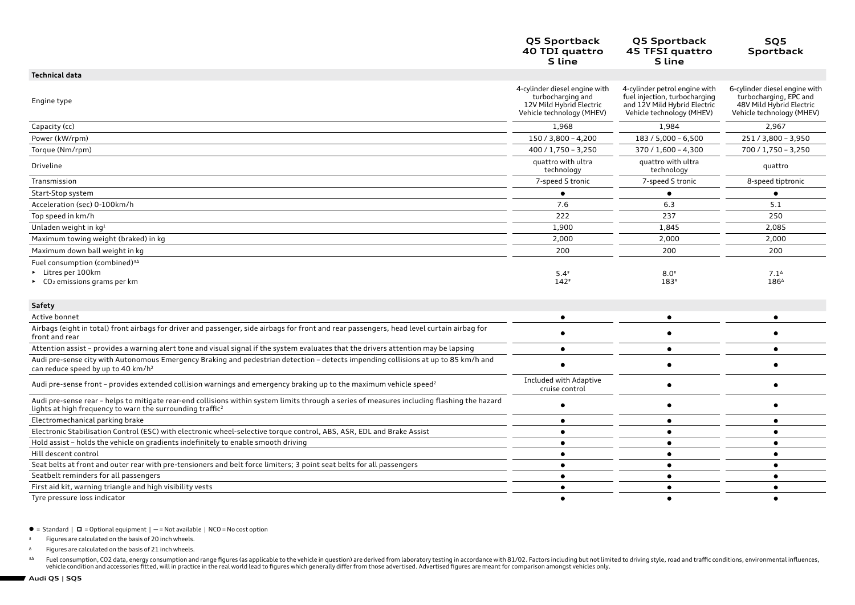|                                                                                                                                                                                                                      | Q5 Sportback<br>40 TDI quattro<br>S line                                                                    | Q5 Sportback<br>45 TFSI quattro<br>S line                                                                                   | SQ5<br>Sportback                                                                                                 |
|----------------------------------------------------------------------------------------------------------------------------------------------------------------------------------------------------------------------|-------------------------------------------------------------------------------------------------------------|-----------------------------------------------------------------------------------------------------------------------------|------------------------------------------------------------------------------------------------------------------|
| <b>Technical data</b>                                                                                                                                                                                                |                                                                                                             |                                                                                                                             |                                                                                                                  |
| Engine type                                                                                                                                                                                                          | 4-cylinder diesel engine with<br>turbocharging and<br>12V Mild Hybrid Electric<br>Vehicle technology (MHEV) | 4-cylinder petrol engine with<br>fuel injection, turbocharging<br>and 12V Mild Hybrid Electric<br>Vehicle technology (MHEV) | 6-cylinder diesel engine with<br>turbocharging, EPC and<br>48V Mild Hybrid Electric<br>Vehicle technology (MHEV) |
| Capacity (cc)                                                                                                                                                                                                        | 1,968                                                                                                       | 1,984                                                                                                                       | 2,967                                                                                                            |
| Power (kW/rpm)                                                                                                                                                                                                       | $150 / 3,800 - 4,200$                                                                                       | 183 / 5,000 - 6,500                                                                                                         | 251/3,800 - 3,950                                                                                                |
| Torque (Nm/rpm)                                                                                                                                                                                                      | $400 / 1,750 - 3,250$                                                                                       | $370 / 1,600 - 4,300$                                                                                                       | 700 / 1,750 - 3,250                                                                                              |
| Driveline                                                                                                                                                                                                            | quattro with ultra<br>technology                                                                            | quattro with ultra<br>technology                                                                                            | quattro                                                                                                          |
| Transmission                                                                                                                                                                                                         | 7-speed S tronic                                                                                            | 7-speed S tronic                                                                                                            | 8-speed tiptronic                                                                                                |
| Start-Stop system                                                                                                                                                                                                    |                                                                                                             |                                                                                                                             | $\bullet$                                                                                                        |
| Acceleration (sec) 0-100km/h                                                                                                                                                                                         | 7.6                                                                                                         | 6.3                                                                                                                         | 5.1                                                                                                              |
| Top speed in km/h                                                                                                                                                                                                    | 222                                                                                                         | 237                                                                                                                         | 250                                                                                                              |
| Unladen weight in kg1                                                                                                                                                                                                | 1,900                                                                                                       | 1,845                                                                                                                       | 2,085                                                                                                            |
| Maximum towing weight (braked) in kg                                                                                                                                                                                 | 2,000                                                                                                       | 2,000                                                                                                                       | 2,000                                                                                                            |
| Maximum down ball weight in kg                                                                                                                                                                                       | 200                                                                                                         | 200                                                                                                                         | 200                                                                                                              |
| Fuel consumption (combined)#4                                                                                                                                                                                        |                                                                                                             |                                                                                                                             |                                                                                                                  |
| Litres per 100km                                                                                                                                                                                                     | $5.4*$                                                                                                      | $8.0*$                                                                                                                      | $7.1^{\circ}$                                                                                                    |
| $\triangleright$ CO <sub>2</sub> emissions grams per km                                                                                                                                                              | $142*$                                                                                                      | 183#                                                                                                                        | 1864                                                                                                             |
| <b>Safety</b>                                                                                                                                                                                                        |                                                                                                             |                                                                                                                             |                                                                                                                  |
| Active bonnet                                                                                                                                                                                                        | $\bullet$                                                                                                   | $\bullet$                                                                                                                   | $\bullet$                                                                                                        |
| Airbags (eight in total) front airbags for driver and passenger, side airbags for front and rear passengers, head level curtain airbag for<br>front and rear                                                         |                                                                                                             | ٠                                                                                                                           |                                                                                                                  |
| Attention assist - provides a warning alert tone and visual signal if the system evaluates that the drivers attention may be lapsing                                                                                 | $\bullet$                                                                                                   | $\bullet$                                                                                                                   | $\bullet$                                                                                                        |
| Audi pre-sense city with Autonomous Emergency Braking and pedestrian detection - detects impending collisions at up to 85 km/h and<br>can reduce speed by up to 40 km/h <sup>2</sup>                                 |                                                                                                             | ٠                                                                                                                           |                                                                                                                  |
| Audi pre-sense front - provides extended collision warnings and emergency braking up to the maximum vehicle speed <sup>2</sup>                                                                                       | Included with Adaptive<br>cruise control                                                                    | ٠                                                                                                                           |                                                                                                                  |
| Audi pre-sense rear - helps to mitigate rear-end collisions within system limits through a series of measures including flashing the hazard<br>lights at high frequency to warn the surrounding traffic <sup>2</sup> |                                                                                                             | ٠                                                                                                                           |                                                                                                                  |
| Electromechanical parking brake                                                                                                                                                                                      | ٠                                                                                                           | $\bullet$                                                                                                                   | $\bullet$                                                                                                        |
| Electronic Stabilisation Control (ESC) with electronic wheel-selective torque control, ABS, ASR, EDL and Brake Assist                                                                                                | ٠                                                                                                           | ٠                                                                                                                           | $\bullet$                                                                                                        |
| Hold assist - holds the vehicle on gradients indefinitely to enable smooth driving                                                                                                                                   | $\bullet$                                                                                                   | $\bullet$                                                                                                                   | $\bullet$                                                                                                        |
| Hill descent control                                                                                                                                                                                                 | ٠                                                                                                           | $\bullet$                                                                                                                   | $\bullet$                                                                                                        |
| Seat belts at front and outer rear with pre-tensioners and belt force limiters; 3 point seat belts for all passengers                                                                                                | $\bullet$                                                                                                   | $\bullet$                                                                                                                   | $\bullet$                                                                                                        |
| Seatbelt reminders for all passengers                                                                                                                                                                                | $\bullet$                                                                                                   | $\bullet$                                                                                                                   | $\bullet$                                                                                                        |
| First aid kit, warning triangle and high visibility vests                                                                                                                                                            | $\bullet$                                                                                                   | $\bullet$                                                                                                                   | $\bullet$                                                                                                        |
| Tyre pressure loss indicator                                                                                                                                                                                         | ٠                                                                                                           | $\bullet$                                                                                                                   | $\bullet$                                                                                                        |

 $\bullet$  = Standard  $\mid$   $\Box$  = Optional equipment  $\mid$  - = Not available  $\mid$  NCO = No cost option

# Figures are calculated on the basis of 20 inch wheels.

<sup>∆</sup> Figures are calculated on the basis of 21 inch wheels.

∗∆ Fuel consumption, CO2 data, energy consumption and range figures (as applicable to the vehicle in question) are derived from laboratory testing in accordance with 81/02. Factors including but not limited to driving sty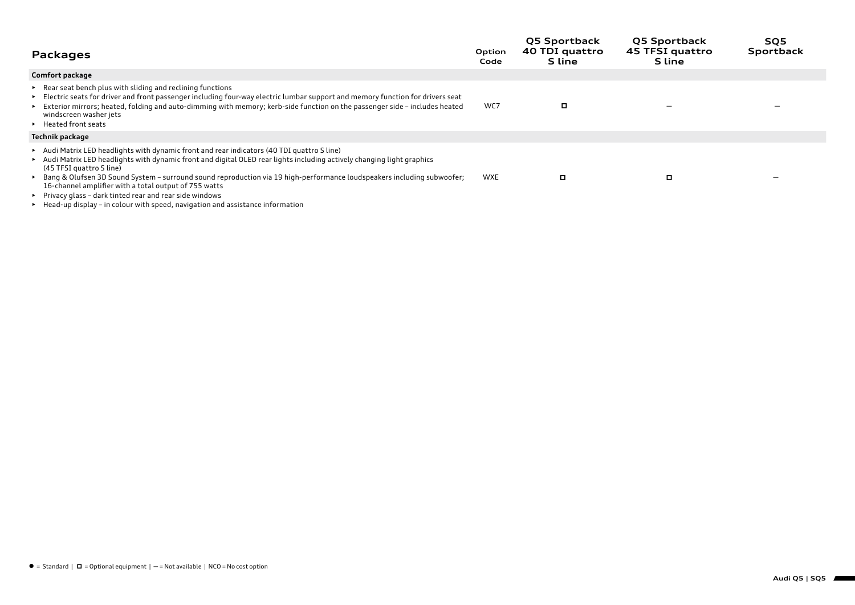| Packages                                                                                                                                                                                                                                                                                                                                                                                                                                                                                                                                                                                   | Option<br>Code | <b>Q5 Sportback</b><br>40 TDI quattro<br><b>S</b> line | <b>Q5 Sportback</b><br>45 TFSI quattro<br>S line | SQ5<br>Sportback |
|--------------------------------------------------------------------------------------------------------------------------------------------------------------------------------------------------------------------------------------------------------------------------------------------------------------------------------------------------------------------------------------------------------------------------------------------------------------------------------------------------------------------------------------------------------------------------------------------|----------------|--------------------------------------------------------|--------------------------------------------------|------------------|
| Comfort package                                                                                                                                                                                                                                                                                                                                                                                                                                                                                                                                                                            |                |                                                        |                                                  |                  |
| Example 1. Rear seat bench plus with sliding and reclining functions<br>Electric seats for driver and front passenger including four-way electric lumbar support and memory function for drivers seat<br>Exterior mirrors; heated, folding and auto-dimming with memory; kerb-side function on the passenger side - includes heated<br>windscreen washer jets<br>▶ Heated front seats                                                                                                                                                                                                      | WC7            | o                                                      |                                                  |                  |
| Technik package                                                                                                                                                                                                                                                                                                                                                                                                                                                                                                                                                                            |                |                                                        |                                                  |                  |
| Audi Matrix LED headlights with dynamic front and rear indicators (40 TDI quattro S line)<br>Audi Matrix LED headlights with dynamic front and digital OLED rear lights including actively changing light graphics<br>(45 TFSI quattro S line)<br>► Bang & Olufsen 3D Sound System – surround sound reproduction via 19 high-performance loudspeakers including subwoofer;<br>16-channel amplifier with a total output of 755 watts<br>▶ Privacy glass – dark tinted rear and rear side windows<br>Example 1 Head-up display - in colour with speed, navigation and assistance information | <b>WXE</b>     | o                                                      | о                                                |                  |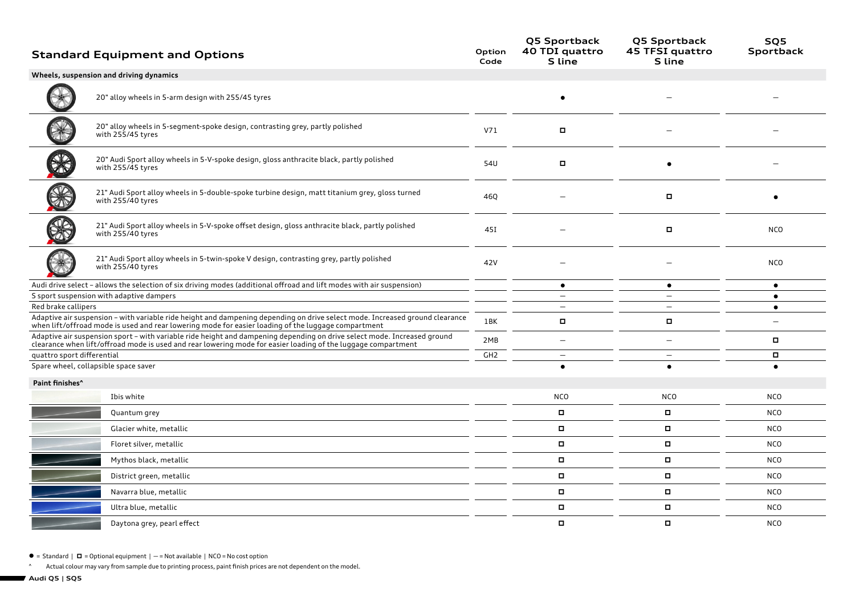|                                      | <b>Standard Equipment and Options</b>                                                                                                                                                                                                     | Option<br>Code  | Q5 Sportback<br>40 TDI quattro<br>S line | Q5 Sportback<br>45 TFSI quattro<br>S line | SQ5<br>Sportback |
|--------------------------------------|-------------------------------------------------------------------------------------------------------------------------------------------------------------------------------------------------------------------------------------------|-----------------|------------------------------------------|-------------------------------------------|------------------|
|                                      | Wheels, suspension and driving dynamics                                                                                                                                                                                                   |                 |                                          |                                           |                  |
|                                      | 20" alloy wheels in 5-arm design with 255/45 tyres                                                                                                                                                                                        |                 |                                          |                                           |                  |
|                                      | 20" alloy wheels in 5-segment-spoke design, contrasting grey, partly polished<br>with 255/45 tyres                                                                                                                                        | V71             | α                                        |                                           |                  |
|                                      | 20" Audi Sport alloy wheels in 5-V-spoke design, gloss anthracite black, partly polished<br>with 255/45 tyres                                                                                                                             | 54U             | о                                        |                                           |                  |
|                                      | 21" Audi Sport alloy wheels in 5-double-spoke turbine design, matt titanium grey, gloss turned<br>with 255/40 tyres                                                                                                                       | 46Q             |                                          | о                                         |                  |
|                                      | 21" Audi Sport alloy wheels in 5-V-spoke offset design, gloss anthracite black, partly polished<br>with 255/40 tyres                                                                                                                      | 45I             |                                          | о                                         | <b>NCO</b>       |
|                                      | 21" Audi Sport alloy wheels in 5-twin-spoke V design, contrasting grey, partly polished<br>with 255/40 tyres                                                                                                                              | 42V             |                                          |                                           | <b>NCO</b>       |
|                                      | Audi drive select - allows the selection of six driving modes (additional offroad and lift modes with air suspension)                                                                                                                     |                 | $\bullet$                                | $\bullet$                                 | $\bullet$        |
|                                      | S sport suspension with adaptive dampers                                                                                                                                                                                                  |                 | $\overline{\phantom{0}}$                 |                                           | $\bullet$        |
| Red brake callipers                  | Adaptive air suspension - with variable ride height and dampening depending on drive select mode. Increased ground clearance                                                                                                              |                 | $\overline{\phantom{0}}$                 |                                           | $\bullet$        |
|                                      | when lift/offroad mode is used and rear lowering mode for easier loading of the luggage compartment                                                                                                                                       | 1BK             | П                                        | $\Box$                                    |                  |
|                                      | Adaptive air suspension sport - with variable ride height and dampening depending on drive select mode. Increased ground<br>clearance when lift/offroad mode is used and rear lowering mode for easier loading of the luggage compartment | 2MB             | $\overline{\phantom{0}}$                 |                                           | П.               |
| quattro sport differential           |                                                                                                                                                                                                                                           | GH <sub>2</sub> | $\qquad \qquad -$                        | $\overline{\phantom{0}}$                  | П.               |
| Spare wheel, collapsible space saver |                                                                                                                                                                                                                                           |                 | $\bullet$                                | $\bullet$                                 | $\bullet$        |
| Paint finishes <sup>^</sup>          |                                                                                                                                                                                                                                           |                 |                                          |                                           |                  |
|                                      | Ibis white                                                                                                                                                                                                                                |                 | <b>NCO</b>                               | <b>NCO</b>                                | <b>NCO</b>       |
|                                      | Quantum grey                                                                                                                                                                                                                              |                 |                                          | Π.                                        | <b>NCO</b>       |
|                                      | Glacier white, metallic                                                                                                                                                                                                                   |                 | Π.                                       | Π.                                        | <b>NCO</b>       |
|                                      | Floret silver, metallic                                                                                                                                                                                                                   |                 | П                                        | $\Box$                                    | <b>NCO</b>       |
|                                      | Mythos black, metallic                                                                                                                                                                                                                    |                 | Π.                                       | Π.                                        | <b>NCO</b>       |
|                                      | District green, metallic                                                                                                                                                                                                                  |                 | П                                        | $\blacksquare$                            | <b>NCO</b>       |
|                                      | Navarra blue, metallic                                                                                                                                                                                                                    |                 | п                                        | п                                         | <b>NCO</b>       |
|                                      | Ultra blue, metallic                                                                                                                                                                                                                      |                 | П                                        | $\Box$                                    | <b>NCO</b>       |
|                                      | Daytona grey, pearl effect                                                                                                                                                                                                                |                 | Π.                                       | Π.                                        | <b>NCO</b>       |

 $\bullet$  = Standard |  $\Box$  = Optional equipment | - = Not available | NCO = No cost option

<sup>^</sup> Actual colour may vary from sample due to printing process, paint finish prices are not dependent on the model.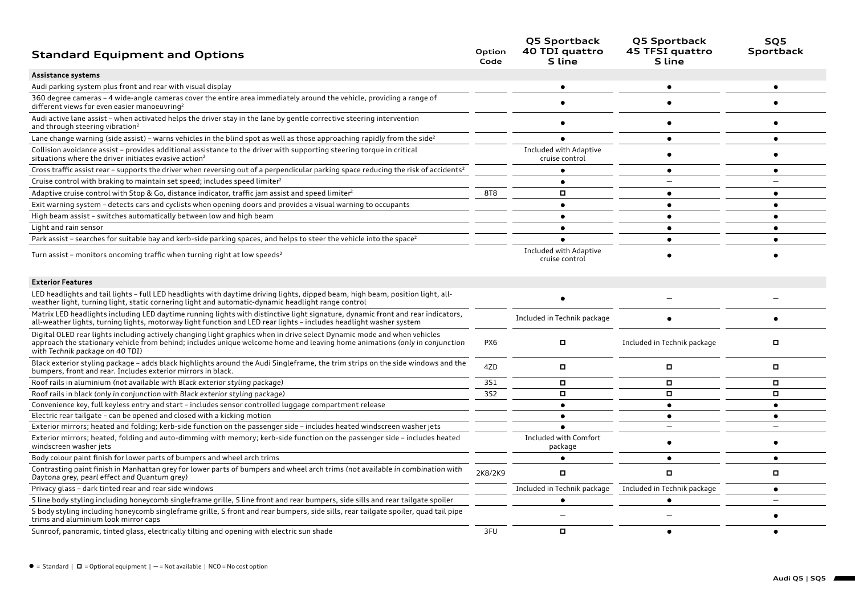| <b>Standard Equipment and Options</b>                                                                                                                                                                                                                               | Option<br>Code | Q5 Sportback<br>40 TDI quattro<br>S line | Q5 Sportback<br>45 TFSI quattro<br>S line | SQ5<br><b>Sportback</b> |
|---------------------------------------------------------------------------------------------------------------------------------------------------------------------------------------------------------------------------------------------------------------------|----------------|------------------------------------------|-------------------------------------------|-------------------------|
| Assistance systems                                                                                                                                                                                                                                                  |                |                                          |                                           |                         |
| Audi parking system plus front and rear with visual display                                                                                                                                                                                                         |                |                                          |                                           |                         |
| 360 degree cameras - 4 wide-angle cameras cover the entire area immediately around the vehicle, providing a range of<br>different views for even easier manoeuvring <sup>2</sup>                                                                                    |                |                                          |                                           |                         |
| Audi active lane assist - when activated helps the driver stay in the lane by gentle corrective steering intervention<br>and through steering vibration <sup>2</sup>                                                                                                |                |                                          |                                           |                         |
| Lane change warning (side assist) - warns vehicles in the blind spot as well as those approaching rapidly from the side <sup>2</sup>                                                                                                                                |                |                                          |                                           | $\bullet$               |
| Collision avoidance assist - provides additional assistance to the driver with supporting steering torque in critical<br>situations where the driver initiates evasive action <sup>2</sup>                                                                          |                | Included with Adaptive<br>cruise control |                                           |                         |
| Cross traffic assist rear - supports the driver when reversing out of a perpendicular parking space reducing the risk of accidents <sup>2</sup>                                                                                                                     |                |                                          | $\bullet$                                 | $\bullet$               |
| Cruise control with braking to maintain set speed; includes speed limiter <sup>2</sup>                                                                                                                                                                              |                |                                          |                                           |                         |
| Adaptive cruise control with Stop & Go, distance indicator, traffic jam assist and speed limiter <sup>2</sup>                                                                                                                                                       | 8T8            |                                          | $\bullet$                                 | $\bullet$               |
| Exit warning system – detects cars and cyclists when opening doors and provides a visual warning to occupants                                                                                                                                                       |                | $\bullet$                                | $\bullet$                                 | ٠                       |
| High beam assist - switches automatically between low and high beam                                                                                                                                                                                                 |                | ٠                                        |                                           | ٠                       |
| Light and rain sensor                                                                                                                                                                                                                                               |                |                                          |                                           |                         |
| Park assist - searches for suitable bay and kerb-side parking spaces, and helps to steer the vehicle into the space <sup>2</sup>                                                                                                                                    |                |                                          |                                           |                         |
| Turn assist - monitors oncoming traffic when turning right at low speeds <sup>2</sup>                                                                                                                                                                               |                | Included with Adaptive<br>cruise control |                                           |                         |
| <b>Exterior Features</b>                                                                                                                                                                                                                                            |                |                                          |                                           |                         |
| LED headlights and tail lights - full LED headlights with daytime driving lights, dipped beam, high beam, position light, all-<br>weather light, turning light, static cornering light and automatic-dynamic headlight range control                                |                |                                          |                                           |                         |
| Matrix LED headlights including LED daytime running lights with distinctive light signature, dynamic front and rear indicators,<br>all-weather lights, turning lights, motorway light function and LED rear lights – includes headlight washer system               |                | Included in Technik package              |                                           | $\bullet$               |
| Digital OLED rear lights including actively changing light graphics when in drive select Dynamic mode and when vehicles<br>approach the stationary vehicle from behind; includes unique welcome home and leaving home animations<br>with Technik package on 40 TDI) | PX6            | п                                        | Included in Technik package               | о                       |
| Black exterior styling package - adds black highlights around the Audi Singleframe, the trim strips on the side windows and the<br>bumpers, front and rear. Includes exterior mirrors in black.                                                                     | 4ZD            | о                                        | о                                         | о                       |
| Roof rails in aluminium (not available with Black exterior styling package)                                                                                                                                                                                         | 351            | п                                        | о                                         | о                       |
| Roof rails in black (only in conjunction with Black exterior styling package)                                                                                                                                                                                       | 3S2            | Π.                                       | $\Box$                                    | о                       |
| Convenience key, full keyless entry and start - includes sensor controlled luggage compartment release                                                                                                                                                              |                | $\bullet$                                |                                           | $\bullet$               |
| Electric rear tailgate - can be opened and closed with a kicking motion                                                                                                                                                                                             |                | ٠                                        | ٠                                         | ٠                       |
| Exterior mirrors; heated and folding; kerb-side function on the passenger side - includes heated windscreen washer jets                                                                                                                                             |                |                                          | $\qquad \qquad -$                         |                         |
| Exterior mirrors; heated, folding and auto-dimming with memory; kerb-side function on the passenger side – includes heated<br>windscreen washer jets                                                                                                                |                | Included with Comfort<br>package         |                                           |                         |
| Body colour paint finish for lower parts of bumpers and wheel arch trims                                                                                                                                                                                            |                |                                          | $\bullet$                                 | $\bullet$               |
| Contrasting paint finish in Manhattan grey for lower parts of bumpers and wheel arch trims (not available in combination with<br>Daytona grey, pearl effect and Quantum grey)                                                                                       | 2K8/2K9        | о                                        | $\Box$                                    | о                       |
| Privacy glass - dark tinted rear and rear side windows                                                                                                                                                                                                              |                | Included in Technik package              | Included in Technik package               | ٠                       |
| S line body styling including honeycomb singleframe grille, S line front and rear bumpers, side sills and rear tailgate spoiler                                                                                                                                     |                |                                          | $\bullet$                                 |                         |
| S body styling including honeycomb singleframe grille, S front and rear bumpers, side sills, rear tailgate spoiler, quad tail pipe<br>trims and aluminium look mirror caps                                                                                          |                |                                          |                                           |                         |
| Sunroof, panoramic, tinted glass, electrically tilting and opening with electric sun shade                                                                                                                                                                          | 3FU            |                                          |                                           |                         |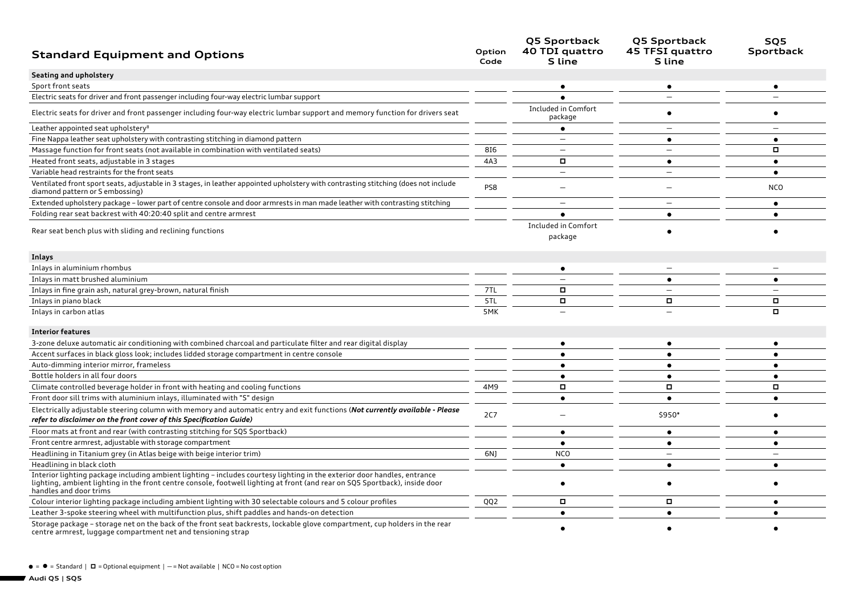| <b>Standard Equipment and Options</b>                                                                                                                                                                                                                                             | Option<br>Code  | Q5 Sportback<br>40 TDI quattro<br>S line | Q5 Sportback<br>45 TFSI quattro<br>S line | SQ5<br>Sportback         |
|-----------------------------------------------------------------------------------------------------------------------------------------------------------------------------------------------------------------------------------------------------------------------------------|-----------------|------------------------------------------|-------------------------------------------|--------------------------|
| Seating and upholstery                                                                                                                                                                                                                                                            |                 |                                          |                                           |                          |
| Sport front seats                                                                                                                                                                                                                                                                 |                 |                                          |                                           |                          |
| Electric seats for driver and front passenger including four-way electric lumbar support                                                                                                                                                                                          |                 |                                          |                                           |                          |
| Electric seats for driver and front passenger including four-way electric lumbar support and memory function for drivers seat                                                                                                                                                     |                 | Included in Comfort<br>package           |                                           |                          |
| Leather appointed seat upholstery <sup>8</sup>                                                                                                                                                                                                                                    |                 |                                          |                                           |                          |
| Fine Nappa leather seat upholstery with contrasting stitching in diamond pattern                                                                                                                                                                                                  |                 | $\overline{\phantom{0}}$                 | ٠                                         | ٠                        |
| Massage function for front seats (not available in combination with ventilated seats)                                                                                                                                                                                             | 816             |                                          |                                           | о                        |
| Heated front seats, adjustable in 3 stages                                                                                                                                                                                                                                        | 4A3             | о                                        | $\bullet$                                 | $\bullet$                |
| Variable head restraints for the front seats                                                                                                                                                                                                                                      |                 | $\overline{\phantom{0}}$                 | $\qquad \qquad -$                         | $\bullet$                |
| Ventilated front sport seats, adjustable in 3 stages, in leather appointed upholstery with contrasting stitching (does not include<br>diamond pattern or S embossing)                                                                                                             | PS8             |                                          |                                           | <b>NCO</b>               |
| Extended upholstery package - lower part of centre console and door armrests in man made leather with contrasting stitching                                                                                                                                                       |                 | $\overline{\phantom{0}}$                 |                                           | ٠                        |
| Folding rear seat backrest with 40:20:40 split and centre armrest                                                                                                                                                                                                                 |                 |                                          | $\bullet$                                 |                          |
| Rear seat bench plus with sliding and reclining functions                                                                                                                                                                                                                         |                 | Included in Comfort<br>package           |                                           |                          |
| Inlays                                                                                                                                                                                                                                                                            |                 |                                          |                                           |                          |
| Inlays in aluminium rhombus                                                                                                                                                                                                                                                       |                 | ٠                                        |                                           |                          |
| Inlays in matt brushed aluminium                                                                                                                                                                                                                                                  |                 |                                          | $\bullet$                                 | $\bullet$                |
| Inlays in fine grain ash, natural grey-brown, natural finish                                                                                                                                                                                                                      | 7TL             | $\Box$                                   | $\overline{\phantom{0}}$                  | $\overline{\phantom{0}}$ |
| Inlays in piano black                                                                                                                                                                                                                                                             | 5TL             | $\Box$                                   | п                                         | о                        |
| Inlays in carbon atlas                                                                                                                                                                                                                                                            | 5MK             |                                          |                                           | $\Box$                   |
| <b>Interior features</b>                                                                                                                                                                                                                                                          |                 |                                          |                                           |                          |
| 3-zone deluxe automatic air conditioning with combined charcoal and particulate filter and rear digital display                                                                                                                                                                   |                 |                                          |                                           |                          |
| Accent surfaces in black gloss look; includes lidded storage compartment in centre console                                                                                                                                                                                        |                 | $\bullet$                                | $\bullet$                                 | $\bullet$                |
| Auto-dimming interior mirror, frameless                                                                                                                                                                                                                                           |                 |                                          |                                           | $\bullet$                |
| Bottle holders in all four doors                                                                                                                                                                                                                                                  |                 | $\bullet$                                | $\bullet$                                 | $\bullet$                |
| Climate controlled beverage holder in front with heating and cooling functions                                                                                                                                                                                                    | 4M9             | $\Box$                                   | о                                         | о                        |
| Front door sill trims with aluminium inlays, illuminated with "S" design                                                                                                                                                                                                          |                 | $\bullet$                                | $\bullet$                                 | $\bullet$                |
| Electrically adjustable steering column with memory and automatic entry and exit functions (Not currently available - Please<br>refer to disclaimer on the front cover of this Specification Guide)                                                                               | <b>2C7</b>      |                                          | \$950*                                    |                          |
| Floor mats at front and rear (with contrasting stitching for SQ5 Sportback)                                                                                                                                                                                                       |                 | ٠                                        |                                           |                          |
| Front centre armrest, adjustable with storage compartment                                                                                                                                                                                                                         |                 | $\bullet$                                | $\bullet$                                 | $\bullet$                |
| Headlining in Titanium grey (in Atlas beige with beige interior trim)                                                                                                                                                                                                             | 6N)             | <b>NCO</b>                               | $\overline{\phantom{0}}$                  |                          |
| Headlining in black cloth                                                                                                                                                                                                                                                         |                 | $\bullet$                                | $\bullet$                                 | $\bullet$                |
| Interior lighting package including ambient lighting - includes courtesy lighting in the exterior door handles, entrance<br>lighting, ambient lighting in the front centre console, footwell lighting at front (and rear on SQ5 Sportback), inside door<br>handles and door trims |                 |                                          |                                           |                          |
| Colour interior lighting package including ambient lighting with 30 selectable colours and 5 colour profiles                                                                                                                                                                      | QQ <sub>2</sub> | о                                        | о                                         |                          |
| Leather 3-spoke steering wheel with multifunction plus, shift paddles and hands-on detection                                                                                                                                                                                      |                 | ٠                                        | ٠                                         |                          |
| Storage package - storage net on the back of the front seat backrests, lockable glove compartment, cup holders in the rear<br>centre armrest, luggage compartment net and tensioning strap                                                                                        |                 |                                          |                                           |                          |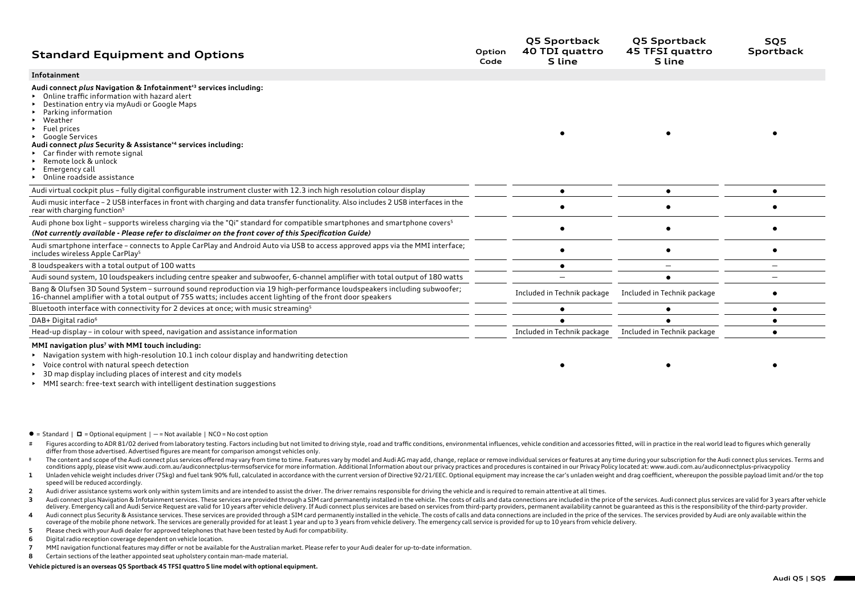| <b>Standard Equipment and Options</b>                                                                                                                                                                                                                                                                                                                                                                                                         | Option<br>Code | Q5 Sportback<br>40 TDI quattro<br><b>S</b> line | Q5 Sportback<br>45 TFSI quattro<br>S line | SQ5<br>Sportback |
|-----------------------------------------------------------------------------------------------------------------------------------------------------------------------------------------------------------------------------------------------------------------------------------------------------------------------------------------------------------------------------------------------------------------------------------------------|----------------|-------------------------------------------------|-------------------------------------------|------------------|
| Infotainment                                                                                                                                                                                                                                                                                                                                                                                                                                  |                |                                                 |                                           |                  |
| Audi connect plus Navigation & Infotainment <sup>+3</sup> services including:<br>Online traffic information with hazard alert<br>Destination entry via myAudi or Google Maps<br>Parking information<br>Weather<br>Fuel prices<br><b>Google Services</b><br>Audi connect plus Security & Assistance <sup>+4</sup> services including:<br>Car finder with remote signal<br>Remote lock & unlock<br>Emergency call<br>Online roadside assistance |                |                                                 |                                           |                  |
| Audi virtual cockpit plus - fully digital configurable instrument cluster with 12.3 inch high resolution colour display                                                                                                                                                                                                                                                                                                                       |                |                                                 |                                           |                  |
| Audi music interface - 2 USB interfaces in front with charging and data transfer functionality. Also includes 2 USB interfaces in the<br>rear with charging function <sup>5</sup>                                                                                                                                                                                                                                                             |                |                                                 |                                           |                  |
| Audi phone box light - supports wireless charging via the "Qi" standard for compatible smartphones and smartphone covers <sup>5</sup><br>(Not currently available - Please refer to disclaimer on the front cover of this Specification Guide)                                                                                                                                                                                                |                |                                                 |                                           |                  |
| Audi smartphone interface - connects to Apple CarPlay and Android Auto via USB to access approved apps via the MMI interface;<br>includes wireless Apple CarPlay <sup>5</sup>                                                                                                                                                                                                                                                                 |                |                                                 |                                           |                  |
| 8 loudspeakers with a total output of 100 watts                                                                                                                                                                                                                                                                                                                                                                                               |                |                                                 |                                           |                  |
| Audi sound system, 10 loudspeakers including centre speaker and subwoofer, 6-channel amplifier with total output of 180 watts                                                                                                                                                                                                                                                                                                                 |                |                                                 |                                           |                  |
| Bang & Olufsen 3D Sound System - surround sound reproduction via 19 high-performance loudspeakers including subwoofer;<br>16-channel amplifier with a total output of 755 watts; includes accent lighting of the front door speakers                                                                                                                                                                                                          |                | Included in Technik package                     | Included in Technik package               |                  |
| Bluetooth interface with connectivity for 2 devices at once; with music streaming <sup>5</sup>                                                                                                                                                                                                                                                                                                                                                |                |                                                 |                                           |                  |
| DAB+ Digital radio <sup>6</sup>                                                                                                                                                                                                                                                                                                                                                                                                               |                |                                                 |                                           |                  |
| Head-up display - in colour with speed, navigation and assistance information                                                                                                                                                                                                                                                                                                                                                                 |                | Included in Technik package                     | Included in Technik package               |                  |
|                                                                                                                                                                                                                                                                                                                                                                                                                                               |                |                                                 |                                           |                  |

## **MMI navigation plus7 with MMI touch including:**

• Navigation system with high-resolution 10.1 inch colour display and handwriting detection

- Voice control with natural speech detection
- 3D map display including places of interest and city models
- MMI search: free-text search with intelligent destination suggestions
- $\bullet$  = Standard  $\mid$   $\Box$  = Optional equipment  $\mid$  = Not available  $\mid$  NCO = No cost option
- # Figures according to ADR 81/02 derived from laboratory testing. Factors including but not limited to driving style, road and traffic conditions, environmental influences, vehicle condition and accessories fitted, will in differ from those advertised. Advertised figures are meant for comparison amongst vehicles only.
- <sup>#</sup> The content and scope of the Audi connect plus services offered may vary from time to time. Features vary by model and Audi AG may add, change, replace or remove individual services or features at any time during your conditions apply, please visit www.audi.com.au/audiconnectplus-termsofservice for more information. Additional Information about our privacy practices and procedures is contained in our Privacy Policy located at: www.audi. 1 Unladen vehicle weight includes driver (75kg) and fuel tank 90% full, calculated in accordance with the current version of Directive 92/21/EEC. Optional equipment may increase the car's unladen weight and drag coefficien
- speed will be reduced accordingly.
- 2 Audi driver assistance systems work only within system limits and are intended to assist the driver. The driver remains responsible for driving the vehicle and is required to remain attentive at all times.
- 3 Audi connect plus Navigation & Infotainment services. These services are provided through a SIM card permanently installed in the vehicle. The costs of calls and data connections are included in the price of the services delivery. Emergency call and Audi Service Request are valid for 10 years after vehicle delivery. If Audi connect plus services are based on services from third-party providers, permanent availability cannot be guaranteed a
- 4 Audi connect plus Security & Assistance services. These services are provided through a SIM card permanently installed in the vehicle. The costs of calls and data connections are included in the price of the services. Th coverage of the mobile phone network. The services are generally provided for at least 1 year and up to 3 years from vehicle delivery. The emergency call service is provided for up to 10 years from vehicle delivery.
- **5** Please check with your Audi dealer for approved telephones that have been tested by Audi for compatibility.
- **6** Digital radio reception coverage dependent on vehicle location.
- **7** MMI navigation functional features may differ or not be available for the Australian market. Please refer to your Audi dealer for up-to-date information.
- **8** Certain sections of the leather appointed seat upholstery contain man-made material.

## **Vehicle pictured is an overseas Q5 Sportback 45 TFSI quattro S line model with optional equipment.**